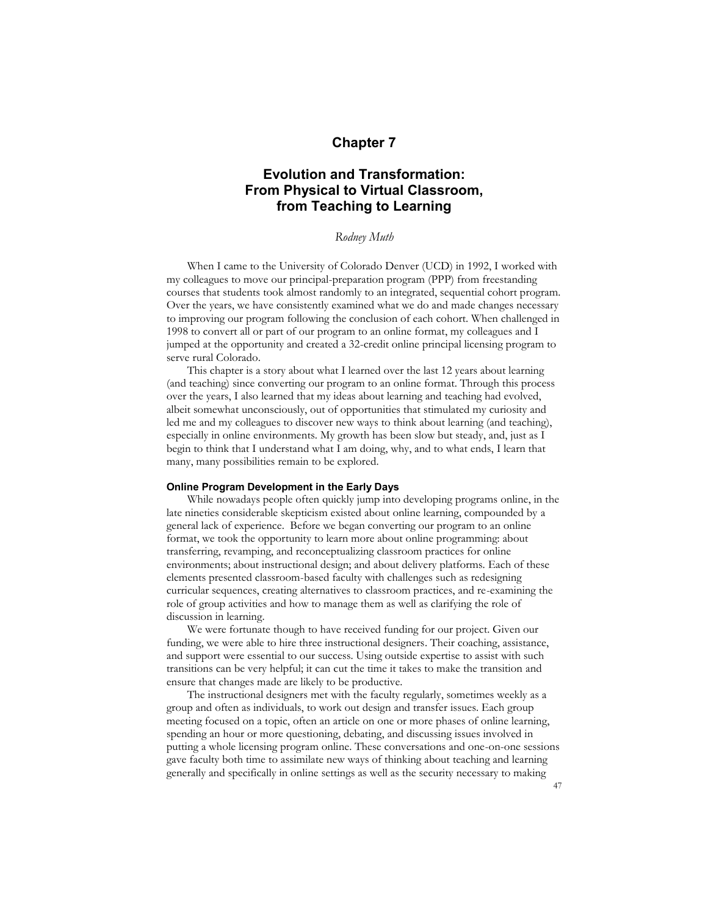## **Chapter 7**

# **Evolution and Transformation: From Physical to Virtual Classroom, from Teaching to Learning**

### *Rodney Muth*

When I came to the University of Colorado Denver (UCD) in 1992, I worked with my colleagues to move our principal-preparation program (PPP) from freestanding courses that students took almost randomly to an integrated, sequential cohort program. Over the years, we have consistently examined what we do and made changes necessary to improving our program following the conclusion of each cohort. When challenged in 1998 to convert all or part of our program to an online format, my colleagues and I jumped at the opportunity and created a 32-credit online principal licensing program to serve rural Colorado.

This chapter is a story about what I learned over the last 12 years about learning (and teaching) since converting our program to an online format. Through this process over the years, I also learned that my ideas about learning and teaching had evolved, albeit somewhat unconsciously, out of opportunities that stimulated my curiosity and led me and my colleagues to discover new ways to think about learning (and teaching), especially in online environments. My growth has been slow but steady, and, just as I begin to think that I understand what I am doing, why, and to what ends, I learn that many, many possibilities remain to be explored.

#### **Online Program Development in the Early Days**

While nowadays people often quickly jump into developing programs online, in the late nineties considerable skepticism existed about online learning, compounded by a general lack of experience. Before we began converting our program to an online format, we took the opportunity to learn more about online programming: about transferring, revamping, and reconceptualizing classroom practices for online environments; about instructional design; and about delivery platforms. Each of these elements presented classroom-based faculty with challenges such as redesigning curricular sequences, creating alternatives to classroom practices, and re-examining the role of group activities and how to manage them as well as clarifying the role of discussion in learning.

We were fortunate though to have received funding for our project. Given our funding, we were able to hire three instructional designers. Their coaching, assistance, and support were essential to our success. Using outside expertise to assist with such transitions can be very helpful; it can cut the time it takes to make the transition and ensure that changes made are likely to be productive.

The instructional designers met with the faculty regularly, sometimes weekly as a group and often as individuals, to work out design and transfer issues. Each group meeting focused on a topic, often an article on one or more phases of online learning, spending an hour or more questioning, debating, and discussing issues involved in putting a whole licensing program online. These conversations and one-on-one sessions gave faculty both time to assimilate new ways of thinking about teaching and learning generally and specifically in online settings as well as the security necessary to making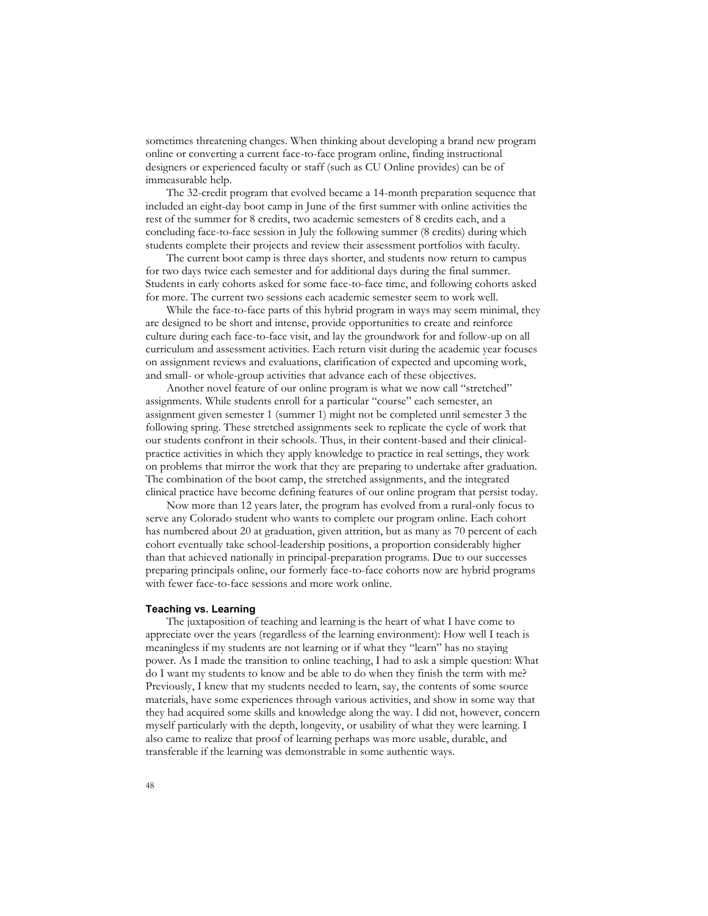sometimes threatening changes. When thinking about developing a brand new program online or converting a current face-to-face program online, finding instructional designers or experienced faculty or staff (such as CU Online provides) can be of immeasurable help.

The 32-credit program that evolved became a 14-month preparation sequence that included an eight-day boot camp in June of the first summer with online activities the rest of the summer for 8 credits, two academic semesters of 8 credits each, and a concluding face-to-face session in July the following summer (8 credits) during which students complete their projects and review their assessment portfolios with faculty.

The current boot camp is three days shorter, and students now return to campus for two days twice each semester and for additional days during the final summer. Students in early cohorts asked for some face-to-face time, and following cohorts asked for more. The current two sessions each academic semester seem to work well.

While the face-to-face parts of this hybrid program in ways may seem minimal, they are designed to be short and intense, provide opportunities to create and reinforce culture during each face-to-face visit, and lay the groundwork for and follow-up on all curriculum and assessment activities. Each return visit during the academic year focuses on assignment reviews and evaluations, clarification of expected and upcoming work, and small- or whole-group activities that advance each of these objectives.

Another novel feature of our online program is what we now call "stretched" assignments. While students enroll for a particular "course" each semester, an assignment given semester 1 (summer 1) might not be completed until semester 3 the following spring. These stretched assignments seek to replicate the cycle of work that our students confront in their schools. Thus, in their content-based and their clinicalpractice activities in which they apply knowledge to practice in real settings, they work on problems that mirror the work that they are preparing to undertake after graduation. The combination of the boot camp, the stretched assignments, and the integrated clinical practice have become defining features of our online program that persist today.

Now more than 12 years later, the program has evolved from a rural-only focus to serve any Colorado student who wants to complete our program online. Each cohort has numbered about 20 at graduation, given attrition, but as many as 70 percent of each cohort eventually take school-leadership positions, a proportion considerably higher than that achieved nationally in principal-preparation programs. Due to our successes preparing principals online, our formerly face-to-face cohorts now are hybrid programs with fewer face-to-face sessions and more work online.

#### **Teaching vs. Learning**

The juxtaposition of teaching and learning is the heart of what I have come to appreciate over the years (regardless of the learning environment): How well I teach is meaningless if my students are not learning or if what they "learn" has no staying power. As I made the transition to online teaching, I had to ask a simple question: What do I want my students to know and be able to do when they finish the term with me? Previously, I knew that my students needed to learn, say, the contents of some source materials, have some experiences through various activities, and show in some way that they had acquired some skills and knowledge along the way. I did not, however, concern myself particularly with the depth, longevity, or usability of what they were learning. I also came to realize that proof of learning perhaps was more usable, durable, and transferable if the learning was demonstrable in some authentic ways.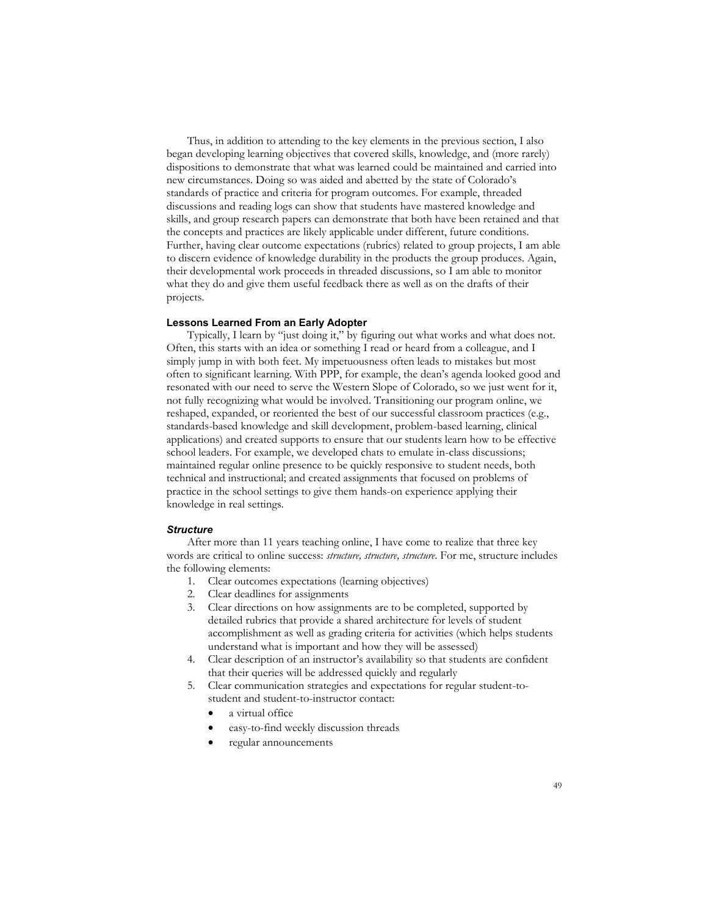Thus, in addition to attending to the key elements in the previous section, I also began developing learning objectives that covered skills, knowledge, and (more rarely) dispositions to demonstrate that what was learned could be maintained and carried into new circumstances. Doing so was aided and abetted by the state of Colorado's standards of practice and criteria for program outcomes. For example, threaded discussions and reading logs can show that students have mastered knowledge and skills, and group research papers can demonstrate that both have been retained and that the concepts and practices are likely applicable under different, future conditions. Further, having clear outcome expectations (rubrics) related to group projects, I am able to discern evidence of knowledge durability in the products the group produces. Again, their developmental work proceeds in threaded discussions, so I am able to monitor what they do and give them useful feedback there as well as on the drafts of their projects.

#### **Lessons Learned From an Early Adopter**

Typically, I learn by "just doing it," by figuring out what works and what does not. Often, this starts with an idea or something I read or heard from a colleague, and I simply jump in with both feet. My impetuousness often leads to mistakes but most often to significant learning. With PPP, for example, the dean's agenda looked good and resonated with our need to serve the Western Slope of Colorado, so we just went for it, not fully recognizing what would be involved. Transitioning our program online, we reshaped, expanded, or reoriented the best of our successful classroom practices (e.g., standards-based knowledge and skill development, problem-based learning, clinical applications) and created supports to ensure that our students learn how to be effective school leaders. For example, we developed chats to emulate in-class discussions; maintained regular online presence to be quickly responsive to student needs, both technical and instructional; and created assignments that focused on problems of practice in the school settings to give them hands-on experience applying their knowledge in real settings.

#### *Structure*

After more than 11 years teaching online, I have come to realize that three key words are critical to online success: *structure, structure, structure*. For me, structure includes the following elements:

- 1. Clear outcomes expectations (learning objectives)
- 2. Clear deadlines for assignments
- 3. Clear directions on how assignments are to be completed, supported by detailed rubrics that provide a shared architecture for levels of student accomplishment as well as grading criteria for activities (which helps students understand what is important and how they will be assessed)
- 4. Clear description of an instructor's availability so that students are confident that their queries will be addressed quickly and regularly
- 5. Clear communication strategies and expectations for regular student-tostudent and student-to-instructor contact:
	- a virtual office
	- easy-to-find weekly discussion threads
	- regular announcements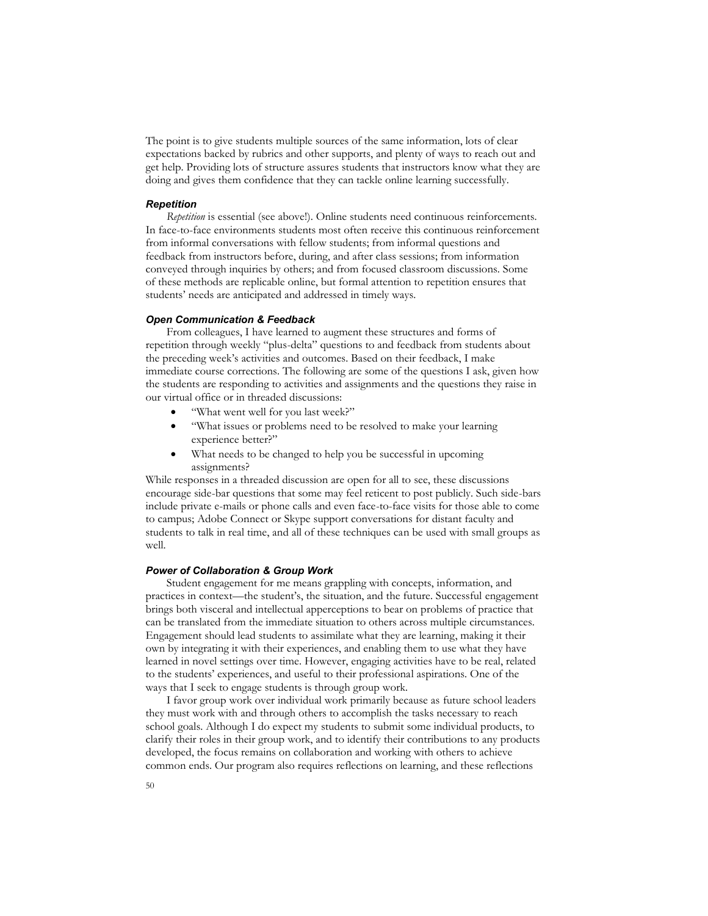The point is to give students multiple sources of the same information, lots of clear expectations backed by rubrics and other supports, and plenty of ways to reach out and get help. Providing lots of structure assures students that instructors know what they are doing and gives them confidence that they can tackle online learning successfully.

#### *Repetition*

*Repetition* is essential (see above!). Online students need continuous reinforcements. In face-to-face environments students most often receive this continuous reinforcement from informal conversations with fellow students; from informal questions and feedback from instructors before, during, and after class sessions; from information conveyed through inquiries by others; and from focused classroom discussions. Some of these methods are replicable online, but formal attention to repetition ensures that students' needs are anticipated and addressed in timely ways.

#### *Open Communication & Feedback*

From colleagues, I have learned to augment these structures and forms of repetition through weekly "plus-delta" questions to and feedback from students about the preceding week's activities and outcomes. Based on their feedback, I make immediate course corrections. The following are some of the questions I ask, given how the students are responding to activities and assignments and the questions they raise in our virtual office or in threaded discussions:

- "What went well for you last week?"
- "What issues or problems need to be resolved to make your learning experience better?"
- What needs to be changed to help you be successful in upcoming assignments?

While responses in a threaded discussion are open for all to see, these discussions encourage side-bar questions that some may feel reticent to post publicly. Such side-bars include private e-mails or phone calls and even face-to-face visits for those able to come to campus; Adobe Connect or Skype support conversations for distant faculty and students to talk in real time, and all of these techniques can be used with small groups as well.

#### *Power of Collaboration & Group Work*

Student engagement for me means grappling with concepts, information, and practices in context—the student's, the situation, and the future. Successful engagement brings both visceral and intellectual apperceptions to bear on problems of practice that can be translated from the immediate situation to others across multiple circumstances. Engagement should lead students to assimilate what they are learning, making it their own by integrating it with their experiences, and enabling them to use what they have learned in novel settings over time. However, engaging activities have to be real, related to the students' experiences, and useful to their professional aspirations. One of the ways that I seek to engage students is through group work.

I favor group work over individual work primarily because as future school leaders they must work with and through others to accomplish the tasks necessary to reach school goals. Although I do expect my students to submit some individual products, to clarify their roles in their group work, and to identify their contributions to any products developed, the focus remains on collaboration and working with others to achieve common ends. Our program also requires reflections on learning, and these reflections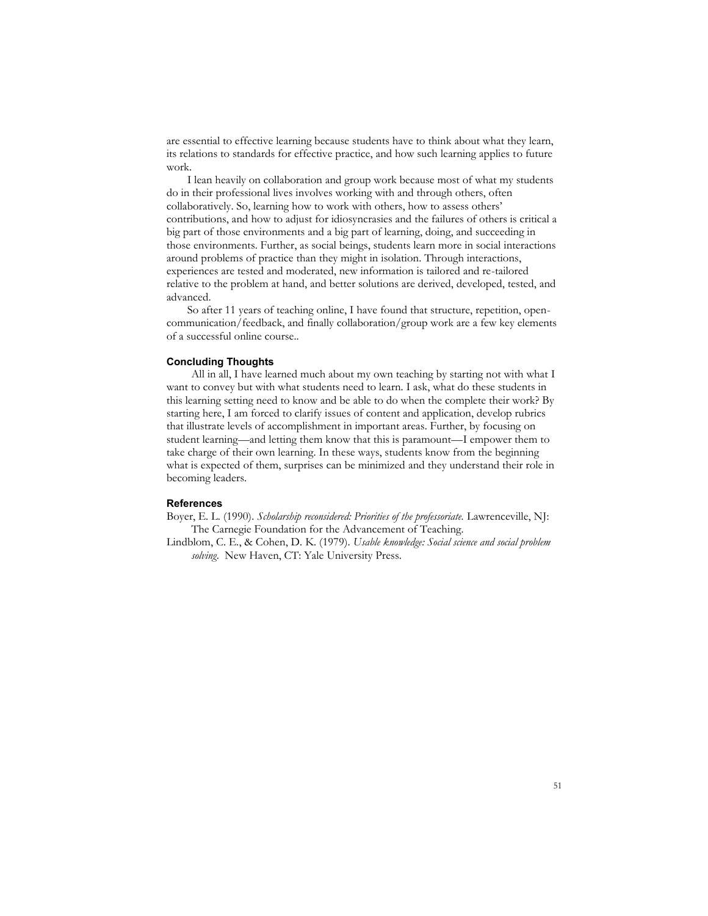are essential to effective learning because students have to think about what they learn, its relations to standards for effective practice, and how such learning applies to future work.

I lean heavily on collaboration and group work because most of what my students do in their professional lives involves working with and through others, often collaboratively. So, learning how to work with others, how to assess others' contributions, and how to adjust for idiosyncrasies and the failures of others is critical a big part of those environments and a big part of learning, doing, and succeeding in those environments. Further, as social beings, students learn more in social interactions around problems of practice than they might in isolation. Through interactions, experiences are tested and moderated, new information is tailored and re-tailored relative to the problem at hand, and better solutions are derived, developed, tested, and advanced.

So after 11 years of teaching online, I have found that structure, repetition, opencommunication/feedback, and finally collaboration/group work are a few key elements of a successful online course..

## **Concluding Thoughts**

All in all, I have learned much about my own teaching by starting not with what I want to convey but with what students need to learn. I ask, what do these students in this learning setting need to know and be able to do when the complete their work? By starting here, I am forced to clarify issues of content and application, develop rubrics that illustrate levels of accomplishment in important areas. Further, by focusing on student learning—and letting them know that this is paramount—I empower them to take charge of their own learning. In these ways, students know from the beginning what is expected of them, surprises can be minimized and they understand their role in becoming leaders.

### **References**

Boyer, E. L. (1990). *Scholarship reconsidered: Priorities of the professoriate.* Lawrenceville, NJ: The Carnegie Foundation for the Advancement of Teaching.

Lindblom, C. E., & Cohen, D. K. (1979). *Usable knowledge: Social science and social problem solving*. New Haven, CT: Yale University Press.